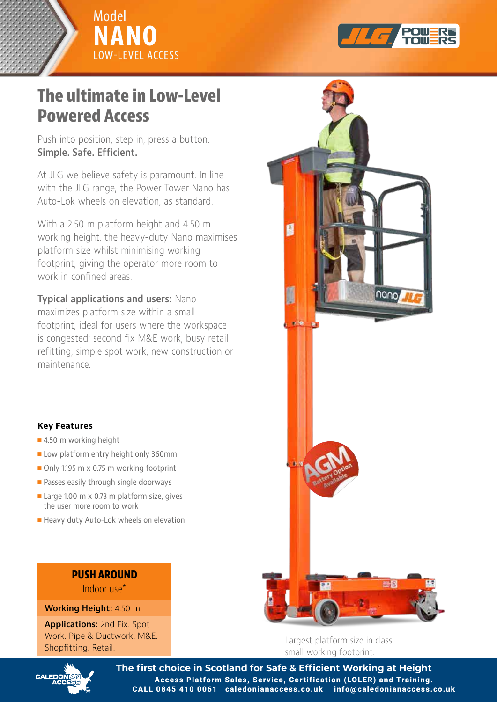



## **The ultimate in Low-Level Powered Access The ultimate in Low-Level Powered Access**

**Simple. Safe. Efficient.** Push into position, step in, press a button.

with the JLG range, the Power Tower Nano has Auto-Lok wheels on elevation, as standard. At JLG we believe safety is paramount. In line

working height, the heavy-duty Nano maximises platform size whilst minimising working footprint, giving the operator more room to work in confined areas. With a 2.50 m platform height and 4.50 m

maximizes platform size within a small footprint, ideal for users where the workspace is congested; second fix M&E work, busy retail refitting, simple spot work, new construction or maintenance. The spot work, new construction or  $\mathbb{R}$ **Typical applications and users:** Nano



- **R** 4.50 m working height
- Low platform entry height only 360mm
- Only 1.195 m x 0.75 m working footprint
- **Passes easily through single doorways**
- **n** Large 1.00 m x 0.73 m platform size, gives the user more room to work
- Heavy duty Auto-Lok wheels on elevation

## **PUSH ANGLE AREA PUSH AROUND**

**Working Height:** 4.50 m

Work. Pipe & Ductwork. M&E. Shopfitting. Retail. Manuscription **Applications:** 2nd Fix. Spot



small working footprint. Largest platform size in class;



The first choice in Scotland for Safe & Efficient Working at Height Access Platform Sales, Service, Certification (LOLER) and Training. CALL 0845 410 0061 caledonianaccess.co.uk info@caledonianaccess.co.uk